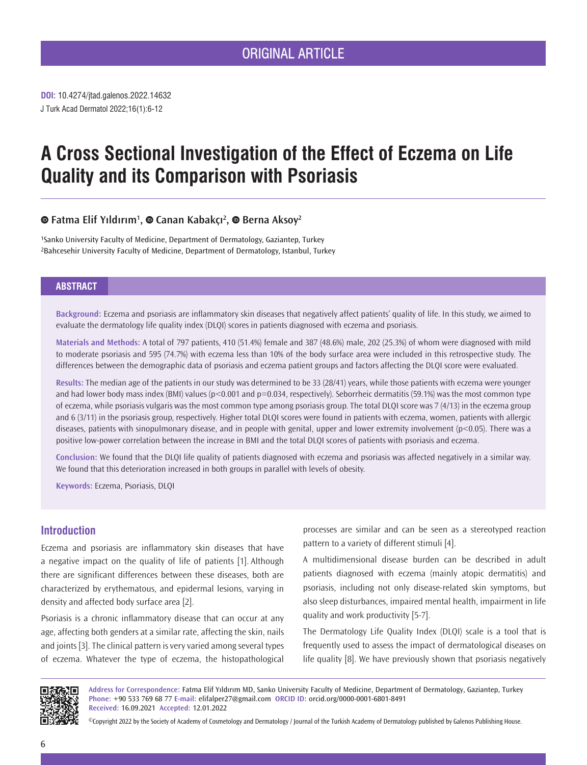**DOI:** 10.4274/jtad.galenos.2022.14632 J Turk Acad Dermatol 2022;16(1):6-12

# **A Cross Sectional Investigation of the Effect of Eczema on Life Quality and its Comparison with Psoriasis**

# **Fatma Elif Yıldırım<sup>1</sup> ,Canan Kabakçı<sup>2</sup> ,Berna Aksoy2**

1Sanko University Faculty of Medicine, Department of Dermatology, Gaziantep, Turkey 2Bahcesehir University Faculty of Medicine, Department of Dermatology, Istanbul, Turkey

# **ABSTRACT**

**Background:** Eczema and psoriasis are inflammatory skin diseases that negatively affect patients' quality of life. In this study, we aimed to evaluate the dermatology life quality index (DLQI) scores in patients diagnosed with eczema and psoriasis.

**Materials and Methods:** A total of 797 patients, 410 (51.4%) female and 387 (48.6%) male, 202 (25.3%) of whom were diagnosed with mild to moderate psoriasis and 595 (74.7%) with eczema less than 10% of the body surface area were included in this retrospective study. The differences between the demographic data of psoriasis and eczema patient groups and factors affecting the DLQI score were evaluated.

**Results:** The median age of the patients in our study was determined to be 33 (28/41) years, while those patients with eczema were younger and had lower body mass index (BMI) values (p<0.001 and p=0.034, respectively). Seborrheic dermatitis (59.1%) was the most common type of eczema, while psoriasis vulgaris was the most common type among psoriasis group. The total DLQI score was 7 (4/13) in the eczema group and 6 (3/11) in the psoriasis group, respectively. Higher total DLQI scores were found in patients with eczema, women, patients with allergic diseases, patients with sinopulmonary disease, and in people with genital, upper and lower extremity involvement (p<0.05). There was a positive low-power correlation between the increase in BMI and the total DLQI scores of patients with psoriasis and eczema.

**Conclusion:** We found that the DLQI life quality of patients diagnosed with eczema and psoriasis was affected negatively in a similar way. We found that this deterioration increased in both groups in parallel with levels of obesity.

**Keywords:** Eczema, Psoriasis, DLQI

# **Introduction**

Eczema and psoriasis are inflammatory skin diseases that have a negative impact on the quality of life of patients [1]. Although there are significant differences between these diseases, both are characterized by erythematous, and epidermal lesions, varying in density and affected body surface area [2].

Psoriasis is a chronic inflammatory disease that can occur at any age, affecting both genders at a similar rate, affecting the skin, nails and joints [3]. The clinical pattern is very varied among several types of eczema. Whatever the type of eczema, the histopathological

processes are similar and can be seen as a stereotyped reaction pattern to a variety of different stimuli [4].

A multidimensional disease burden can be described in adult patients diagnosed with eczema (mainly atopic dermatitis) and psoriasis, including not only disease-related skin symptoms, but also sleep disturbances, impaired mental health, impairment in life quality and work productivity [5-7].

The Dermatology Life Quality Index (DLQI) scale is a tool that is frequently used to assess the impact of dermatological diseases on life quality [8]. We have previously shown that psoriasis negatively



**Address for Correspondence:** Fatma Elif Yıldırım MD, Sanko University Faculty of Medicine, Department of Dermatology, Gaziantep, Turkey **Phone:** +90 533 769 68 77 **E-mail:** elifalper27@gmail.com **ORCID ID:** orcid.org/0000-0001-6801-8491 **Received:** 16.09.2021 **Accepted:** 12.01.2022

©Copyright 2022 by the Society of Academy of Cosmetology and Dermatology / Journal of the Turkish Academy of Dermatology published by Galenos Publishing House.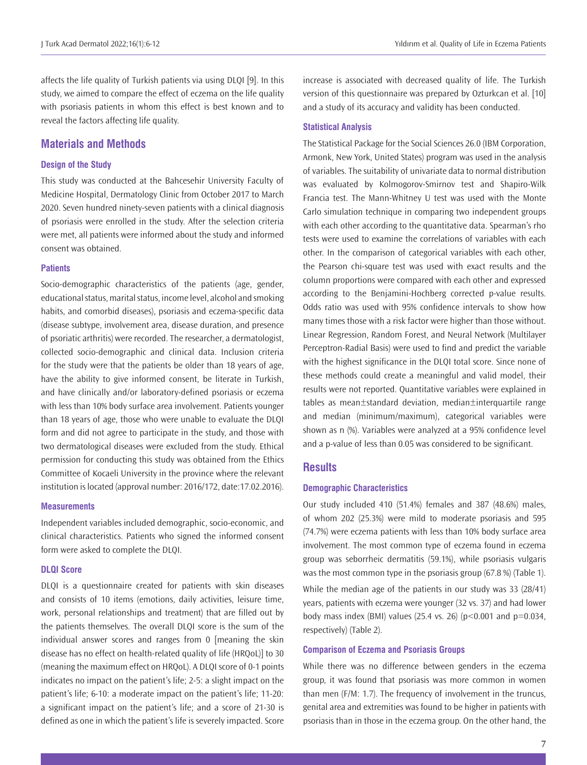affects the life quality of Turkish patients via using DLQI [9]. In this study, we aimed to compare the effect of eczema on the life quality with psoriasis patients in whom this effect is best known and to reveal the factors affecting life quality.

# **Materials and Methods**

# **Design of the Study**

This study was conducted at the Bahcesehir University Faculty of Medicine Hospital, Dermatology Clinic from October 2017 to March 2020. Seven hundred ninety-seven patients with a clinical diagnosis of psoriasis were enrolled in the study. After the selection criteria were met, all patients were informed about the study and informed consent was obtained.

## **Patients**

Socio-demographic characteristics of the patients (age, gender, educational status, marital status, income level, alcohol and smoking habits, and comorbid diseases), psoriasis and eczema-specific data (disease subtype, involvement area, disease duration, and presence of psoriatic arthritis) were recorded. The researcher, a dermatologist, collected socio-demographic and clinical data. Inclusion criteria for the study were that the patients be older than 18 years of age, have the ability to give informed consent, be literate in Turkish, and have clinically and/or laboratory-defined psoriasis or eczema with less than 10% body surface area involvement. Patients younger than 18 years of age, those who were unable to evaluate the DLQI form and did not agree to participate in the study, and those with two dermatological diseases were excluded from the study. Ethical permission for conducting this study was obtained from the Ethics Committee of Kocaeli University in the province where the relevant institution is located (approval number: 2016/172, date:17.02.2016).

#### **Measurements**

Independent variables included demographic, socio-economic, and clinical characteristics. Patients who signed the informed consent form were asked to complete the DLQI.

# **DLQI Score**

DLQI is a questionnaire created for patients with skin diseases and consists of 10 items (emotions, daily activities, leisure time, work, personal relationships and treatment) that are filled out by the patients themselves. The overall DLQI score is the sum of the individual answer scores and ranges from 0 [meaning the skin disease has no effect on health-related quality of life (HRQoL)] to 30 (meaning the maximum effect on HRQoL). A DLQI score of 0-1 points indicates no impact on the patient's life; 2-5: a slight impact on the patient's life; 6-10: a moderate impact on the patient's life; 11-20: a significant impact on the patient's life; and a score of 21-30 is defined as one in which the patient's life is severely impacted. Score increase is associated with decreased quality of life. The Turkish version of this questionnaire was prepared by Ozturkcan et al. [10] and a study of its accuracy and validity has been conducted.

## **Statistical Analysis**

The Statistical Package for the Social Sciences 26.0 (IBM Corporation, Armonk, New York, United States) program was used in the analysis of variables. The suitability of univariate data to normal distribution was evaluated by Kolmogorov-Smirnov test and Shapiro-Wilk Francia test. The Mann-Whitney U test was used with the Monte Carlo simulation technique in comparing two independent groups with each other according to the quantitative data. Spearman's rho tests were used to examine the correlations of variables with each other. In the comparison of categorical variables with each other, the Pearson chi-square test was used with exact results and the column proportions were compared with each other and expressed according to the Benjamini-Hochberg corrected p-value results. Odds ratio was used with 95% confidence intervals to show how many times those with a risk factor were higher than those without. Linear Regression, Random Forest, and Neural Network (Multilayer Perceptron-Radial Basis) were used to find and predict the variable with the highest significance in the DLQI total score. Since none of these methods could create a meaningful and valid model, their results were not reported. Quantitative variables were explained in tables as mean±standard deviation, median±interquartile range and median (minimum/maximum), categorical variables were shown as n (%). Variables were analyzed at a 95% confidence level and a p-value of less than 0.05 was considered to be significant.

# **Results**

## **Demographic Characteristics**

Our study included 410 (51.4%) females and 387 (48.6%) males, of whom 202 (25.3%) were mild to moderate psoriasis and 595 (74.7%) were eczema patients with less than 10% body surface area involvement. The most common type of eczema found in eczema group was seborrheic dermatitis (59.1%), while psoriasis vulgaris was the most common type in the psoriasis group (67.8 %) (Table 1). While the median age of the patients in our study was 33 (28/41) years, patients with eczema were younger (32 vs. 37) and had lower body mass index (BMI) values (25.4 vs. 26) ( $p$ <0.001 and  $p$ =0.034, respectively) (Table 2).

#### **Comparison of Eczema and Psoriasis Groups**

While there was no difference between genders in the eczema group, it was found that psoriasis was more common in women than men (F/M: 1.7). The frequency of involvement in the truncus, genital area and extremities was found to be higher in patients with psoriasis than in those in the eczema group. On the other hand, the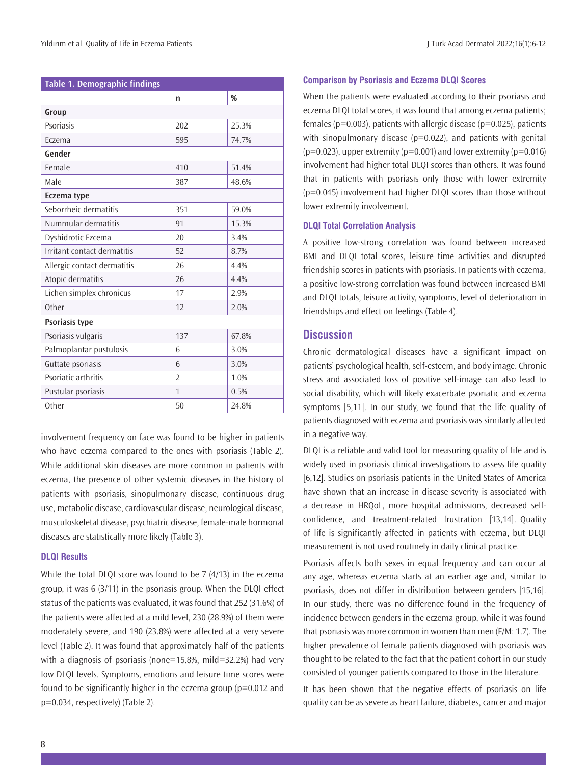| Table 1. Demographic findings |                |       |  |  |
|-------------------------------|----------------|-------|--|--|
|                               | n              | %     |  |  |
| Group                         |                |       |  |  |
| Psoriasis                     | 202            | 25.3% |  |  |
| Eczema                        | 595            | 74.7% |  |  |
| Gender                        |                |       |  |  |
| Female                        | 410            | 51.4% |  |  |
| Male                          | 387            | 48.6% |  |  |
| Eczema type                   |                |       |  |  |
| Seborrheic dermatitis         | 351            | 59.0% |  |  |
| Nummular dermatitis           | 91             | 15.3% |  |  |
| Dyshidrotic Ezcema            | 20             | 3.4%  |  |  |
| Irritant contact dermatitis   | 52             | 8.7%  |  |  |
| Allergic contact dermatitis   | 26             | 4.4%  |  |  |
| Atopic dermatitis             | 26             | 4.4%  |  |  |
| Lichen simplex chronicus      | 17             | 2.9%  |  |  |
| Other                         | 12             | 2.0%  |  |  |
| Psoriasis type                |                |       |  |  |
| Psoriasis vulgaris            | 137            | 67.8% |  |  |
| Palmoplantar pustulosis       | 6              | 3.0%  |  |  |
| Guttate psoriasis             | 6              | 3.0%  |  |  |
| Psoriatic arthritis           | $\overline{2}$ | 1.0%  |  |  |
| Pustular psoriasis            | $\mathbf{1}$   | 0.5%  |  |  |
| Other                         | 50             | 24.8% |  |  |

involvement frequency on face was found to be higher in patients who have eczema compared to the ones with psoriasis (Table 2). While additional skin diseases are more common in patients with eczema, the presence of other systemic diseases in the history of patients with psoriasis, sinopulmonary disease, continuous drug use, metabolic disease, cardiovascular disease, neurological disease, musculoskeletal disease, psychiatric disease, female-male hormonal diseases are statistically more likely (Table 3).

# **DLQI Results**

While the total DLQI score was found to be 7 (4/13) in the eczema group, it was 6 (3/11) in the psoriasis group. When the DLQI effect status of the patients was evaluated, it was found that 252 (31.6%) of the patients were affected at a mild level, 230 (28.9%) of them were moderately severe, and 190 (23.8%) were affected at a very severe level (Table 2). It was found that approximately half of the patients with a diagnosis of psoriasis (none=15.8%, mild=32.2%) had very low DLQI levels. Symptoms, emotions and leisure time scores were found to be significantly higher in the eczema group (p=0.012 and p=0.034, respectively) (Table 2).

## **Comparison by Psoriasis and Eczema DLQI Scores**

When the patients were evaluated according to their psoriasis and eczema DLQI total scores, it was found that among eczema patients; females ( $p=0.003$ ), patients with allergic disease ( $p=0.025$ ), patients with sinopulmonary disease ( $p=0.022$ ), and patients with genital  $(p=0.023)$ , upper extremity  $(p=0.001)$  and lower extremity  $(p=0.016)$ involvement had higher total DLQI scores than others. It was found that in patients with psoriasis only those with lower extremity (p=0.045) involvement had higher DLQI scores than those without lower extremity involvement.

## **DLQI Total Correlation Analysis**

A positive low-strong correlation was found between increased BMI and DLQI total scores, leisure time activities and disrupted friendship scores in patients with psoriasis. In patients with eczema, a positive low-strong correlation was found between increased BMI and DLQI totals, leisure activity, symptoms, level of deterioration in friendships and effect on feelings (Table 4).

# **Discussion**

Chronic dermatological diseases have a significant impact on patients' psychological health, self-esteem, and body image. Chronic stress and associated loss of positive self-image can also lead to social disability, which will likely exacerbate psoriatic and eczema symptoms [5,11]. In our study, we found that the life quality of patients diagnosed with eczema and psoriasis was similarly affected in a negative way.

DLQI is a reliable and valid tool for measuring quality of life and is widely used in psoriasis clinical investigations to assess life quality [6,12]. Studies on psoriasis patients in the United States of America have shown that an increase in disease severity is associated with a decrease in HRQoL, more hospital admissions, decreased selfconfidence, and treatment-related frustration [13,14]. Quality of life is significantly affected in patients with eczema, but DLQI measurement is not used routinely in daily clinical practice.

Psoriasis affects both sexes in equal frequency and can occur at any age, whereas eczema starts at an earlier age and, similar to psoriasis, does not differ in distribution between genders [15,16]. In our study, there was no difference found in the frequency of incidence between genders in the eczema group, while it was found that psoriasis was more common in women than men (F/M: 1.7). The higher prevalence of female patients diagnosed with psoriasis was thought to be related to the fact that the patient cohort in our study consisted of younger patients compared to those in the literature.

It has been shown that the negative effects of psoriasis on life quality can be as severe as heart failure, diabetes, cancer and major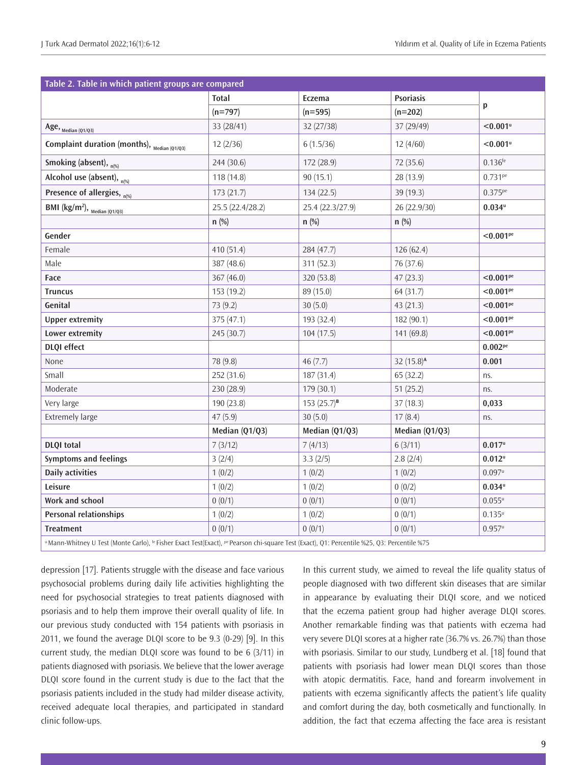| Table 2. Table in which patient groups are compared      |                  |                  |                       |                        |  |
|----------------------------------------------------------|------------------|------------------|-----------------------|------------------------|--|
|                                                          | <b>Total</b>     | Eczema           | <b>Psoriasis</b>      | p                      |  |
|                                                          | $(n=797)$        | $(n=595)$        | $(n=202)$             |                        |  |
| Age, $_{\text{Median (Q1/Q3)}}$                          | 33 (28/41)       | 32(27/38)        | 37 (29/49)            | $< 0.001$ u            |  |
| Complaint duration (months), $M_{\text{Median (Q1/Q3)}}$ | 12(2/36)         | 6(1.5/36)        | 12(4/60)              | $< 0.001$ <sup>u</sup> |  |
| Smoking (absent), n(%)                                   | 244 (30.6)       | 172(28.9)        | 72 (35.6)             | $0.136^{fe}$           |  |
| Alcohol use (absent), $_{n(\%)}$                         | 118(14.8)        | 90(15.1)         | 28(13.9)              | $0.731^{pe}$           |  |
| Presence of allergies, n(%)                              | 173(21.7)        | 134 (22.5)       | 39 (19.3)             | $0.375^{pe}$           |  |
| BMI ( $\text{kg/m}^2$ ), $\text{Median } (01/03)$        | 25.5 (22.4/28.2) | 25.4 (22.3/27.9) | 26 (22.9/30)          | $0.034^u$              |  |
|                                                          | $n$ (%)          | $n$ (%)          | n(%)                  |                        |  |
| Gender                                                   |                  |                  |                       | < 0.001 <sup>pe</sup>  |  |
| Female                                                   | 410 (51.4)       | 284 (47.7)       | 126(62.4)             |                        |  |
| Male                                                     | 387 (48.6)       | 311 (52.3)       | 76 (37.6)             |                        |  |
| Face                                                     | 367 (46.0)       | 320 (53.8)       | 47(23.3)              | < 0.001 <sup>pe</sup>  |  |
| <b>Truncus</b>                                           | 153 (19.2)       | 89 (15.0)        | 64 (31.7)             | < 0.001 <sup>pe</sup>  |  |
| Genital                                                  | 73 (9.2)         | 30(5.0)          | 43 (21.3)             | < 0.001 <sup>pe</sup>  |  |
| <b>Upper extremity</b>                                   | 375(47.1)        | 193 (32.4)       | 182(90.1)             | < 0.001 <sup>pe</sup>  |  |
| Lower extremity                                          | 245 (30.7)       | 104(17.5)        | 141 (69.8)            | < 0.001 <sup>pe</sup>  |  |
| <b>DLQI</b> effect                                       |                  |                  |                       | $0.002^{pe}$           |  |
| None                                                     | 78 (9.8)         | 46(7.7)          | $32(15.8)^{\text{A}}$ | 0.001                  |  |
| Small                                                    | 252 (31.6)       | 187(31.4)        | 65(32.2)              | ns.                    |  |
| Moderate                                                 | 230 (28.9)       | 179 (30.1)       | 51(25.2)              | ns.                    |  |
| Very large                                               | 190 (23.8)       | $153(25.7)^{B}$  | 37(18.3)              | 0,033                  |  |
| <b>Extremely large</b>                                   | 47(5.9)          | 30(5.0)          | 17(8.4)               | ns.                    |  |
|                                                          | Median (Q1/Q3)   | Median (Q1/Q3)   | Median (Q1/Q3)        |                        |  |
| <b>DLQI</b> total                                        | 7(3/12)          | 7(4/13)          | 6(3/11)               | $0.017^u$              |  |
| <b>Symptoms and feelings</b>                             | 3(2/4)           | 3.3(2/5)         | 2.8(2/4)              | $0.012^u$              |  |
| <b>Daily activities</b>                                  | 1(0/2)           | 1(0/2)           | 1(0/2)                | $0.097^u$              |  |
| Leisure                                                  | 1(0/2)           | 1(0/2)           | 0(0/2)                | $0.034$ u              |  |
| Work and school                                          | 0(0/1)           | 0(0/1)           | 0(0/1)                | $0.055^u$              |  |
| <b>Personal relationships</b>                            | 1(0/2)           | 1(0/2)           | 0(0/1)                | $0.135^u$              |  |
| <b>Treatment</b>                                         | 0(0/1)           | 0(0/1)           | 0(0/1)                | $0.957^u$              |  |

u Mann-Whitney U Test (Monte Carlo), <sup>fe</sup> Fisher Exact Test(Exact), <sup>pe</sup> Pearson chi-square Test (Exact), Q1: Percentile %25, Q3: Percentile %75

depression [17]. Patients struggle with the disease and face various psychosocial problems during daily life activities highlighting the need for psychosocial strategies to treat patients diagnosed with psoriasis and to help them improve their overall quality of life. In our previous study conducted with 154 patients with psoriasis in 2011, we found the average DLQI score to be 9.3 (0-29) [9]. In this current study, the median DLQI score was found to be 6 (3/11) in patients diagnosed with psoriasis. We believe that the lower average DLQI score found in the current study is due to the fact that the psoriasis patients included in the study had milder disease activity, received adequate local therapies, and participated in standard clinic follow-ups.

In this current study, we aimed to reveal the life quality status of people diagnosed with two different skin diseases that are similar in appearance by evaluating their DLQI score, and we noticed that the eczema patient group had higher average DLQI scores. Another remarkable finding was that patients with eczema had very severe DLQI scores at a higher rate (36.7% vs. 26.7%) than those with psoriasis. Similar to our study, Lundberg et al. [18] found that patients with psoriasis had lower mean DLQI scores than those with atopic dermatitis. Face, hand and forearm involvement in patients with eczema significantly affects the patient's life quality and comfort during the day, both cosmetically and functionally. In addition, the fact that eczema affecting the face area is resistant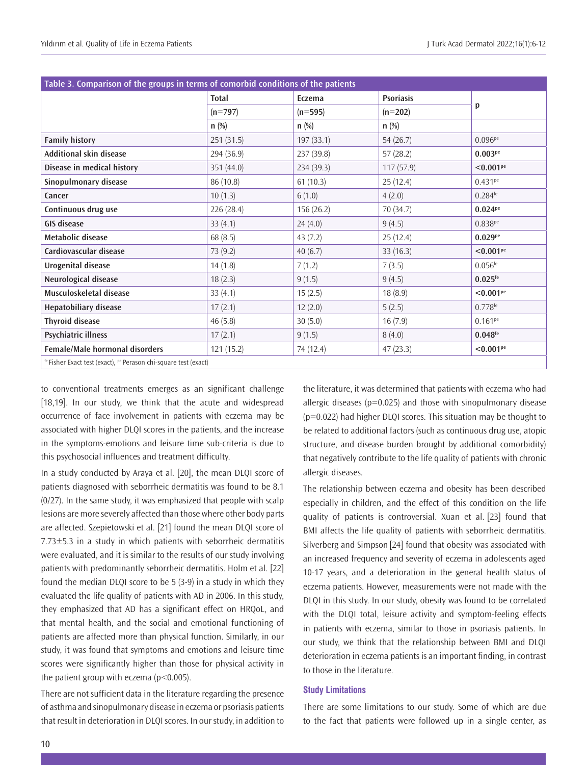| Table 3. Comparison of the groups in terms of comorbid conditions of the patients |              |            |                  |                       |
|-----------------------------------------------------------------------------------|--------------|------------|------------------|-----------------------|
|                                                                                   | <b>Total</b> | Eczema     | <b>Psoriasis</b> |                       |
|                                                                                   | $(n=797)$    | $(n=595)$  | $(n=202)$        | p                     |
|                                                                                   | $n$ (%)      | $n$ (%)    | $n$ (%)          |                       |
| <b>Family history</b>                                                             | 251(31.5)    | 197(33.1)  | 54 (26.7)        | $0.096^{pe}$          |
| Additional skin disease                                                           | 294 (36.9)   | 237 (39.8) | 57(28.2)         | 0.003 <sup>pe</sup>   |
| Disease in medical history                                                        | 351 (44.0)   | 234 (39.3) | 117(57.9)        | < 0.001 <sup>pe</sup> |
| Sinopulmonary disease                                                             | 86 (10.8)    | 61(10.3)   | 25(12.4)         | $0.431^{pe}$          |
| Cancer                                                                            | 10(1.3)      | 6(1.0)     | 4(2.0)           | $0.284$ <sup>fe</sup> |
| Continuous drug use                                                               | 226 (28.4)   | 156 (26.2) | 70 (34.7)        | $0.024^{pe}$          |
| <b>GIS disease</b>                                                                | 33(4.1)      | 24(4.0)    | 9(4.5)           | 0.838 <sup>pe</sup>   |
| Metabolic disease                                                                 | 68(8.5)      | 43(7.2)    | 25(12.4)         | 0.029 <sup>pe</sup>   |
| Cardiovascular disease                                                            | 73 (9.2)     | 40(6.7)    | 33(16.3)         | < 0.001 <sup>pe</sup> |
| Urogenital disease                                                                | 14(1.8)      | 7(1.2)     | 7(3.5)           | $0.056^{fe}$          |
| Neurological disease                                                              | 18(2.3)      | 9(1.5)     | 9(4.5)           | $0.025$ <sup>fe</sup> |
| Musculoskeletal disease                                                           | 33(4.1)      | 15(2.5)    | 18(8.9)          | < 0.001 <sup>pe</sup> |
| Hepatobiliary disease                                                             | 17(2.1)      | 12(2.0)    | 5(2.5)           | $0.778^{fe}$          |
| <b>Thyroid disease</b>                                                            | 46(5.8)      | 30(5.0)    | 16(7.9)          | $0.161^{pe}$          |
| Psychiatric illness                                                               | 17(2.1)      | 9(1.5)     | 8(4.0)           | $0.048^{fe}$          |
| Female/Male hormonal disorders                                                    | 121(15.2)    | 74 (12.4)  | 47(23.3)         | < 0.001 <sup>pe</sup> |
| fe Fisher Exact test (exact), <sup>pe</sup> Perason chi-square test (exact)       |              |            |                  |                       |

to conventional treatments emerges as an significant challenge [18,19]. In our study, we think that the acute and widespread occurrence of face involvement in patients with eczema may be associated with higher DLQI scores in the patients, and the increase in the symptoms-emotions and leisure time sub-criteria is due to this psychosocial influences and treatment difficulty.

In a study conducted by Araya et al. [20], the mean DLQI score of patients diagnosed with seborrheic dermatitis was found to be 8.1 (0/27). In the same study, it was emphasized that people with scalp lesions are more severely affected than those where other body parts are affected. Szepietowski et al. [21] found the mean DLQI score of 7.73±5.3 in a study in which patients with seborrheic dermatitis were evaluated, and it is similar to the results of our study involving patients with predominantly seborrheic dermatitis. Holm et al. [22] found the median DLQI score to be 5 (3-9) in a study in which they evaluated the life quality of patients with AD in 2006. In this study, they emphasized that AD has a significant effect on HRQoL, and that mental health, and the social and emotional functioning of patients are affected more than physical function. Similarly, in our study, it was found that symptoms and emotions and leisure time scores were significantly higher than those for physical activity in the patient group with eczema (p<0.005).

There are not sufficient data in the literature regarding the presence of asthma and sinopulmonary disease in eczema or psoriasis patients that result in deterioration in DLQI scores. In our study, in addition to the literature, it was determined that patients with eczema who had allergic diseases ( $p=0.025$ ) and those with sinopulmonary disease (p=0.022) had higher DLQI scores. This situation may be thought to be related to additional factors (such as continuous drug use, atopic structure, and disease burden brought by additional comorbidity) that negatively contribute to the life quality of patients with chronic allergic diseases.

The relationship between eczema and obesity has been described especially in children, and the effect of this condition on the life quality of patients is controversial. Xuan et al. [23] found that BMI affects the life quality of patients with seborrheic dermatitis. Silverberg and Simpson [24] found that obesity was associated with an increased frequency and severity of eczema in adolescents aged 10-17 years, and a deterioration in the general health status of eczema patients. However, measurements were not made with the DLQI in this study. In our study, obesity was found to be correlated with the DLQI total, leisure activity and symptom-feeling effects in patients with eczema, similar to those in psoriasis patients. In our study, we think that the relationship between BMI and DLQI deterioration in eczema patients is an important finding, in contrast to those in the literature.

## **Study Limitations**

There are some limitations to our study. Some of which are due to the fact that patients were followed up in a single center, as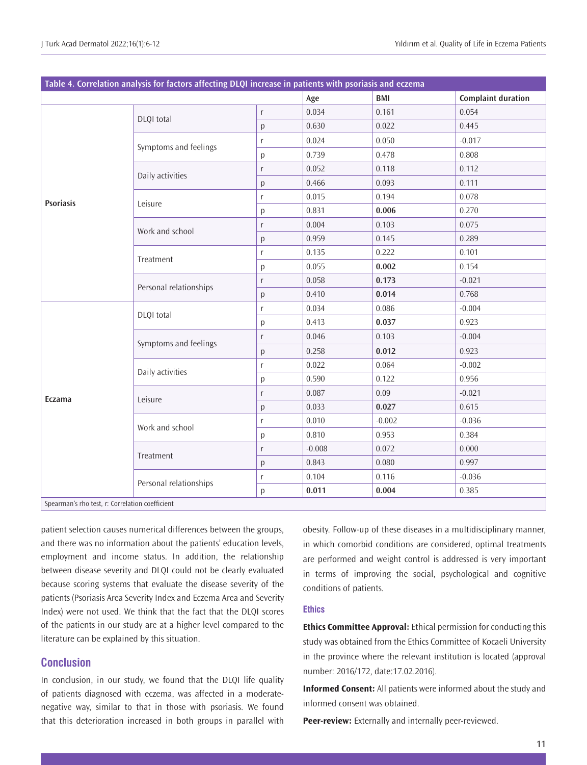| Table 4. Correlation analysis for factors affecting DLQI increase in patients with psoriasis and eczema |                        |           |          |          |                           |
|---------------------------------------------------------------------------------------------------------|------------------------|-----------|----------|----------|---------------------------|
|                                                                                                         |                        |           | Age      | BMI      | <b>Complaint duration</b> |
|                                                                                                         | DLQI total             | r         | 0.034    | 0.161    | 0.054                     |
|                                                                                                         |                        | p         | 0.630    | 0.022    | 0.445                     |
|                                                                                                         | Symptoms and feelings  | r         | 0.024    | 0.050    | $-0.017$                  |
|                                                                                                         |                        | p         | 0.739    | 0.478    | 0.808                     |
|                                                                                                         | Daily activities       | r         | 0.052    | 0.118    | 0.112                     |
|                                                                                                         |                        | p         | 0.466    | 0.093    | 0.111                     |
| <b>Psoriasis</b>                                                                                        | Leisure                | r         | 0.015    | 0.194    | 0.078                     |
|                                                                                                         |                        | p         | 0.831    | 0.006    | 0.270                     |
|                                                                                                         |                        | $r_{\rm}$ | 0.004    | 0.103    | 0.075                     |
|                                                                                                         | Work and school        | p         | 0.959    | 0.145    | 0.289                     |
|                                                                                                         | Treatment              | r         | 0.135    | 0.222    | 0.101                     |
|                                                                                                         |                        | p         | 0.055    | 0.002    | 0.154                     |
|                                                                                                         | Personal relationships | r         | 0.058    | 0.173    | $-0.021$                  |
|                                                                                                         |                        | p         | 0.410    | 0.014    | 0.768                     |
|                                                                                                         | DLQI total             | r         | 0.034    | 0.086    | $-0.004$                  |
|                                                                                                         |                        | р         | 0.413    | 0.037    | 0.923                     |
|                                                                                                         |                        | $r_{\rm}$ | 0.046    | 0.103    | $-0.004$                  |
|                                                                                                         | Symptoms and feelings  | p         | 0.258    | 0.012    | 0.923                     |
| Eczama                                                                                                  | Daily activities       | r         | 0.022    | 0.064    | $-0.002$                  |
|                                                                                                         |                        | р         | 0.590    | 0.122    | 0.956                     |
|                                                                                                         | Leisure                | $r_{\rm}$ | 0.087    | 0.09     | $-0.021$                  |
|                                                                                                         |                        | p         | 0.033    | 0.027    | 0.615                     |
|                                                                                                         | Work and school        | r         | 0.010    | $-0.002$ | $-0.036$                  |
|                                                                                                         |                        | p         | 0.810    | 0.953    | 0.384                     |
|                                                                                                         | Treatment              | $r_{\rm}$ | $-0.008$ | 0.072    | 0.000                     |
|                                                                                                         |                        | p         | 0.843    | 0.080    | 0.997                     |
|                                                                                                         | Personal relationships | r         | 0.104    | 0.116    | $-0.036$                  |
|                                                                                                         |                        | p         | 0.011    | 0.004    | 0.385                     |
| Spearman's rho test, r: Correlation coefficient                                                         |                        |           |          |          |                           |

patient selection causes numerical differences between the groups, and there was no information about the patients' education levels, employment and income status. In addition, the relationship between disease severity and DLQI could not be clearly evaluated because scoring systems that evaluate the disease severity of the patients (Psoriasis Area Severity Index and Eczema Area and Severity Index) were not used. We think that the fact that the DLQI scores of the patients in our study are at a higher level compared to the literature can be explained by this situation.

# **Conclusion**

In conclusion, in our study, we found that the DLQI life quality of patients diagnosed with eczema, was affected in a moderatenegative way, similar to that in those with psoriasis. We found that this deterioration increased in both groups in parallel with

obesity. Follow-up of these diseases in a multidisciplinary manner, in which comorbid conditions are considered, optimal treatments are performed and weight control is addressed is very important in terms of improving the social, psychological and cognitive conditions of patients.

# **Ethics**

**Ethics Committee Approval:** Ethical permission for conducting this study was obtained from the Ethics Committee of Kocaeli University in the province where the relevant institution is located (approval number: 2016/172, date:17.02.2016).

**Informed Consent:** All patients were informed about the study and informed consent was obtained.

**Peer-review:** Externally and internally peer-reviewed.